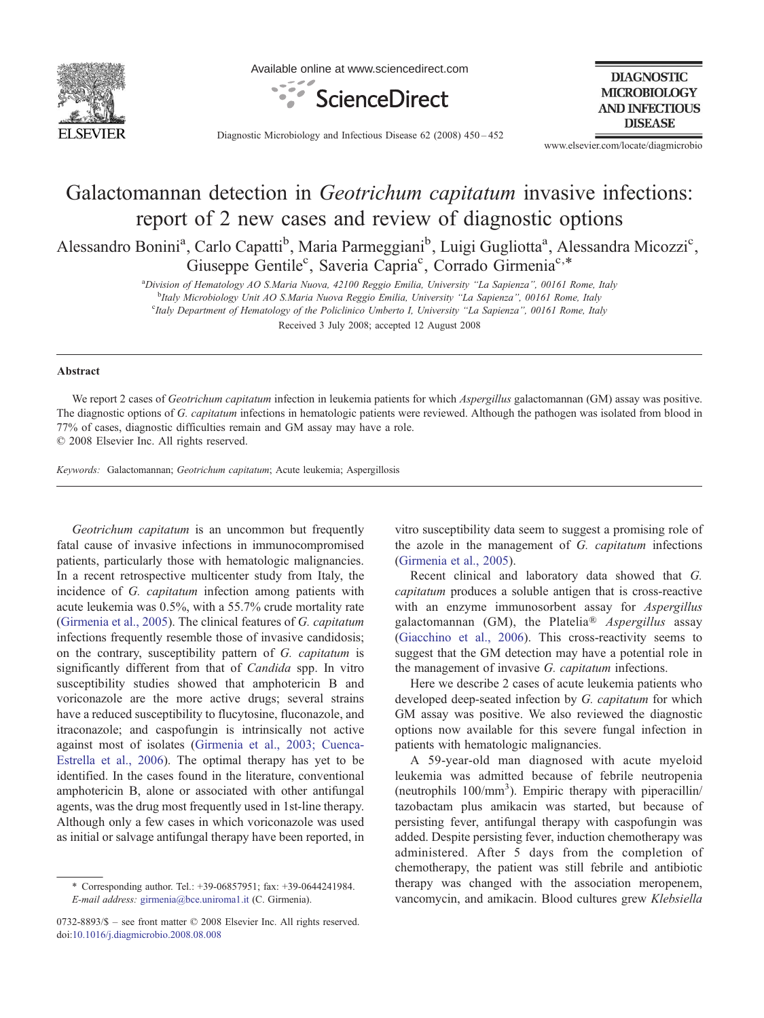

Available online at www.sciencedirect.com



**DIAGNOSTIC MICROBIOLOGY AND INFECTIOUS DISEASE** 

Diagnostic Microbiology and Infectious Disease 62 (2008) 450–452

www.elsevier.com/locate/diagmicrobio

## Galactomannan detection in Geotrichum capitatum invasive infections: report of 2 new cases and review of diagnostic options

Alessandro Bonini<sup>a</sup>, Carlo Capatti<sup>b</sup>, Maria Parmeggiani<sup>b</sup>, Luigi Gugliotta<sup>a</sup>, Alessandra Micozzi<sup>c</sup>, Giuseppe Gentile<sup>c</sup>, Saveria Capria<sup>c</sup>, Corrado Girmenia<sup>c,\*</sup>

a<br>
<sup>a</sup>Division of Hematology AO S.Maria Nuova, 42100 Reggio Emilia, University "La Sapienza", 00161 Rome, Italy b<br>
<sup>b</sup>Italy Microbiology Unit AO S.Maria Nuova Peggio Emilia, University "La Sapienza", 00161 Pome, Italy

<sup>b</sup>Italy Microbiology Unit AO S.Maria Nuova Reggio Emilia, University "La Sapienza", 00161 Rome, Italy

<sup>c</sup>Italy Department of Hematology of the Policlinico Umberto I, University "La Sapienza", 00161 Rome, Italy

Received 3 July 2008; accepted 12 August 2008

## Abstract

We report 2 cases of Geotrichum capitatum infection in leukemia patients for which Aspergillus galactomannan (GM) assay was positive. The diagnostic options of G. capitatum infections in hematologic patients were reviewed. Although the pathogen was isolated from blood in 77% of cases, diagnostic difficulties remain and GM assay may have a role.

© 2008 Elsevier Inc. All rights reserved.

Keywords: Galactomannan; Geotrichum capitatum; Acute leukemia; Aspergillosis

Geotrichum capitatum is an uncommon but frequently fatal cause of invasive infections in immunocompromised patients, particularly those with hematologic malignancies. In a recent retrospective multicenter study from Italy, the incidence of G. capitatum infection among patients with acute leukemia was 0.5%, with a 55.7% crude mortality rate [\(Girmenia et al., 2005\)](#page-2-0). The clinical features of G. capitatum infections frequently resemble those of invasive candidosis; on the contrary, susceptibility pattern of G. capitatum is significantly different from that of *Candida* spp. In vitro susceptibility studies showed that amphotericin B and voriconazole are the more active drugs; several strains have a reduced susceptibility to flucytosine, fluconazole, and itraconazole; and caspofungin is intrinsically not active against most of isolates ([Girmenia et al., 2003; Cuenca-](#page-2-0)[Estrella et al., 2006](#page-2-0)). The optimal therapy has yet to be identified. In the cases found in the literature, conventional amphotericin B, alone or associated with other antifungal agents, was the drug most frequently used in 1st-line therapy. Although only a few cases in which voriconazole was used as initial or salvage antifungal therapy have been reported, in

vitro susceptibility data seem to suggest a promising role of the azole in the management of G. capitatum infections [\(Girmenia et al., 2005\)](#page-2-0).

Recent clinical and laboratory data showed that G. capitatum produces a soluble antigen that is cross-reactive with an enzyme immunosorbent assay for *Aspergillus* galactomannan (GM), the Platelia® Aspergillus assay [\(Giacchino et al., 2006](#page-2-0)). This cross-reactivity seems to suggest that the GM detection may have a potential role in the management of invasive G. capitatum infections.

Here we describe 2 cases of acute leukemia patients who developed deep-seated infection by G. capitatum for which GM assay was positive. We also reviewed the diagnostic options now available for this severe fungal infection in patients with hematologic malignancies.

A 59-year-old man diagnosed with acute myeloid leukemia was admitted because of febrile neutropenia (neutrophils 100/mm<sup>3</sup>). Empiric therapy with piperacillin/ tazobactam plus amikacin was started, but because of persisting fever, antifungal therapy with caspofungin was added. Despite persisting fever, induction chemotherapy was administered. After 5 days from the completion of chemotherapy, the patient was still febrile and antibiotic therapy was changed with the association meropenem, vancomycin, and amikacin. Blood cultures grew Klebsiella

<sup>⁎</sup> Corresponding author. Tel.: +39-06857951; fax: +39-0644241984. E-mail address: [girmenia@bce.uniroma1.it](mailto:girmenia@bce.uniroma1.it) (C. Girmenia).

<sup>0732-8893/\$</sup> – see front matter © 2008 Elsevier Inc. All rights reserved. doi[:10.1016/j.diagmicrobio.2008.08.008](http://dx.doi.org/10.1016/j.diagmicrobio.2008.08.008)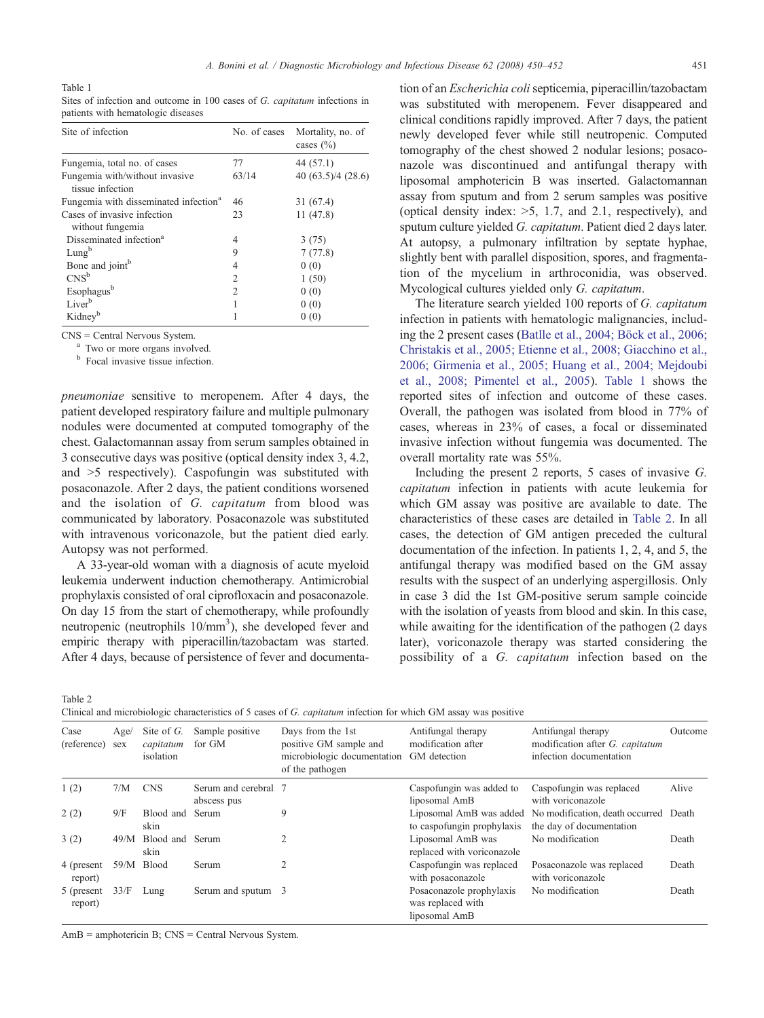Table 1

Sites of infection and outcome in 100 cases of G. capitatum infections in patients with hematologic diseases

| Site of infection                                  | No. of cases   | Mortality, no. of<br>cases $(\% )$<br>44 (57.1) |  |
|----------------------------------------------------|----------------|-------------------------------------------------|--|
| Fungemia, total no. of cases                       | 77             |                                                 |  |
| Fungemia with/without invasive<br>tissue infection | 63/14          | 40 $(63.5)/4(28.6)$                             |  |
| Fungemia with disseminated infection <sup>a</sup>  | 46             | 31 (67.4)                                       |  |
| Cases of invasive infection<br>without fungemia    | 23             | 11(47.8)                                        |  |
| Disseminated infection <sup>a</sup>                | 4              | 3(75)                                           |  |
| Lungb                                              | 9              | 7(77.8)                                         |  |
| Bone and joint <sup>b</sup>                        | 4              | 0(0)                                            |  |
| $CNS^b$                                            | 2              | 1(50)                                           |  |
| Esophagus <sup>b</sup>                             | $\overline{c}$ | 0(0)                                            |  |
| Liver <sup>b</sup>                                 |                | 0(0)                                            |  |
| Kidney <sup>b</sup>                                |                | 0(0)                                            |  |

CNS = Central Nervous System.

<sup>a</sup> Two or more organs involved.<br><sup>b</sup> Focal invasive tissue infection.

pneumoniae sensitive to meropenem. After 4 days, the patient developed respiratory failure and multiple pulmonary nodules were documented at computed tomography of the chest. Galactomannan assay from serum samples obtained in 3 consecutive days was positive (optical density index 3, 4.2, and  $>5$  respectively). Caspofungin was substituted with posaconazole. After 2 days, the patient conditions worsened and the isolation of G. capitatum from blood was communicated by laboratory. Posaconazole was substituted with intravenous voriconazole, but the patient died early. Autopsy was not performed.

A 33-year-old woman with a diagnosis of acute myeloid leukemia underwent induction chemotherapy. Antimicrobial prophylaxis consisted of oral ciprofloxacin and posaconazole. On day 15 from the start of chemotherapy, while profoundly neutropenic (neutrophils 10/mm<sup>3</sup>), she developed fever and empiric therapy with piperacillin/tazobactam was started. After 4 days, because of persistence of fever and documentation of an Escherichia coli septicemia, piperacillin/tazobactam was substituted with meropenem. Fever disappeared and clinical conditions rapidly improved. After 7 days, the patient newly developed fever while still neutropenic. Computed tomography of the chest showed 2 nodular lesions; posaconazole was discontinued and antifungal therapy with liposomal amphotericin B was inserted. Galactomannan assay from sputum and from 2 serum samples was positive (optical density index:  $>5$ , 1.7, and 2.1, respectively), and sputum culture yielded G. capitatum. Patient died 2 days later. At autopsy, a pulmonary infiltration by septate hyphae, slightly bent with parallel disposition, spores, and fragmentation of the mycelium in arthroconidia, was observed. Mycological cultures yielded only G. capitatum.

The literature search yielded 100 reports of G. capitatum infection in patients with hematologic malignancies, including the 2 present cases [\(Batlle et al., 2004; Böck et al., 2006;](#page-2-0) [Christakis et al., 2005; Etienne et al., 2008; Giacchino et al.,](#page-2-0) [2006; Girmenia et al., 2005; Huang et al., 2004; Mejdoubi](#page-2-0) [et al., 2008; Pimentel et al., 2005\)](#page-2-0). Table 1 shows the reported sites of infection and outcome of these cases. Overall, the pathogen was isolated from blood in 77% of cases, whereas in 23% of cases, a focal or disseminated invasive infection without fungemia was documented. The overall mortality rate was 55%.

Including the present 2 reports, 5 cases of invasive G. capitatum infection in patients with acute leukemia for which GM assay was positive are available to date. The characteristics of these cases are detailed in Table 2. In all cases, the detection of GM antigen preceded the cultural documentation of the infection. In patients 1, 2, 4, and 5, the antifungal therapy was modified based on the GM assay results with the suspect of an underlying aspergillosis. Only in case 3 did the 1st GM-positive serum sample coincide with the isolation of yeasts from blood and skin. In this case, while awaiting for the identification of the pathogen (2 days later), voriconazole therapy was started considering the possibility of a G. capitatum infection based on the

Table 2

Clinical and microbiologic characteristics of 5 cases of G. capitatum infection for which GM assay was positive

| Case<br>(reference)   | Age/<br>sex | Site of $G$ .<br>capitatum<br>isolation | Sample positive<br>for GM           | Days from the 1st<br>positive GM sample and<br>microbiologic documentation GM detection<br>of the pathogen | Antifungal therapy<br>modification after                       | Antifungal therapy<br>modification after G. capitatum<br>infection documentation          | Outcome |
|-----------------------|-------------|-----------------------------------------|-------------------------------------|------------------------------------------------------------------------------------------------------------|----------------------------------------------------------------|-------------------------------------------------------------------------------------------|---------|
| 1(2)                  | 7/M         | <b>CNS</b>                              | Serum and cerebral 7<br>abscess pus |                                                                                                            | Caspofungin was added to<br>liposomal AmB                      | Caspofungin was replaced<br>with voriconazole                                             | Alive   |
| 2(2)                  | 9/F         | Blood and<br>skin                       | Serum                               | 9                                                                                                          | to caspofungin prophylaxis                                     | Liposomal AmB was added No modification, death occurred Death<br>the day of documentation |         |
| 3(2)                  | 49/M        | Blood and Serum<br>skin                 |                                     |                                                                                                            | Liposomal AmB was<br>replaced with voriconazole                | No modification                                                                           | Death   |
| 4 (present<br>report) |             | 59/M Blood                              | Serum                               |                                                                                                            | Caspofungin was replaced<br>with posaconazole                  | Posaconazole was replaced<br>with voriconazole                                            | Death   |
| 5 (present<br>report) | 33/F        | Lung                                    | Serum and sputum 3                  |                                                                                                            | Posaconazole prophylaxis<br>was replaced with<br>liposomal AmB | No modification                                                                           | Death   |

AmB = amphotericin B; CNS = Central Nervous System.